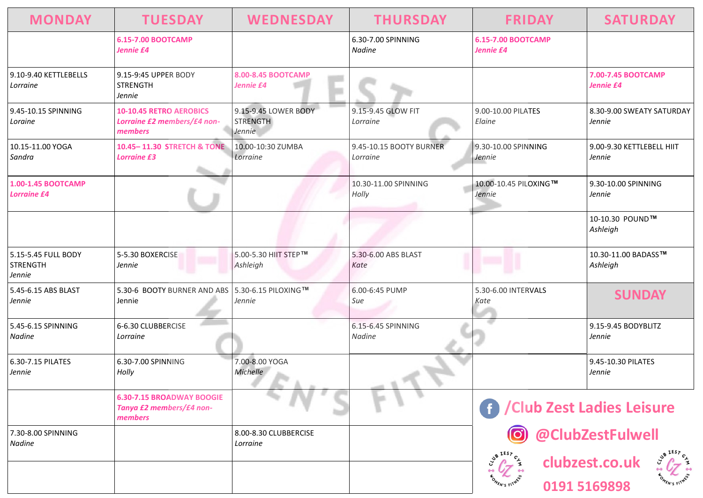| <b>MONDAY</b>                                    | <b>TUESDAY</b>                                                           | <b>WEDNESDAY</b>                                  | <b>THURSDAY</b>                     | <b>FRIDAY</b>                          | <b>SATURDAY</b>                     |
|--------------------------------------------------|--------------------------------------------------------------------------|---------------------------------------------------|-------------------------------------|----------------------------------------|-------------------------------------|
|                                                  | <b>6.15-7.00 BOOTCAMP</b><br>Jennie £4                                   |                                                   | 6.30-7.00 SPINNING<br>Nadine        | <b>6.15-7.00 BOOTCAMP</b><br>Jennie £4 |                                     |
| 9.10-9.40 KETTLEBELLS<br>Lorraine                | 9.15-9:45 UPPER BODY<br><b>STRENGTH</b><br>Jennie                        | 8.00-8.45 BOOTCAMP<br>Jennie £4                   |                                     |                                        | 7.00-7.45 BOOTCAMP<br>Jennie £4     |
| 9.45-10.15 SPINNING<br>Loraine                   | <b>10-10.45 RETRO AEROBICS</b><br>Lorraine £2 members/£4 non-<br>members | 9.15-9.45 LOWER BODY<br><b>STRENGTH</b><br>Jennie | 9.15-9.45 GLOW FIT<br>Lorraine      | 9.00-10.00 PILATES<br>Elaine           | 8.30-9.00 SWEATY SATURDAY<br>Jennie |
| 10.15-11.00 YOGA<br>Sandra                       | 10.45-11.30 STRETCH & TONE<br><b>Lorraine £3</b>                         | 10.00-10:30 ZUMBA<br>Lorraine                     | 9.45-10.15 BOOTY BURNER<br>Lorraine | 9.30-10.00 SPINNING<br>Jennie          | 9.00-9.30 KETTLEBELL HIIT<br>Jennie |
| 1.00-1.45 BOOTCAMP<br><b>Lorraine £4</b>         |                                                                          |                                                   | 10.30-11.00 SPINNING<br>Holly       | 10.00-10.45 PILOXING™<br>Jennie        | 9.30-10.00 SPINNING<br>Jennie       |
|                                                  |                                                                          |                                                   |                                     |                                        | 10-10.30 POUND™<br>Ashleigh         |
| 5.15-5.45 FULL BODY<br><b>STRENGTH</b><br>Jennie | 5-5.30 BOXERCISE<br>Jennie                                               | 5.00-5.30 HIIT STEP™<br>Ashleigh                  | 5.30-6.00 ABS BLAST<br>Kate         |                                        | 10.30-11.00 BADASS™<br>Ashleigh     |
| 5.45-6.15 ABS BLAST<br>Jennie                    | 5.30-6 BOOTY BURNER AND ABS 5.30-6.15 PILOXING™<br>Jennie                | Jennie                                            | 6.00-6:45 PUMP<br>Sue               | 5.30-6.00 INTERVALS<br>Kate            | <b>SUNDAY</b>                       |
| 5.45-6.15 SPINNING<br>Nadine                     | 6-6.30 CLUBBERCISE<br>Lorraine                                           |                                                   | 6.15-6.45 SPINNING<br>Nadine        |                                        | 9.15-9.45 BODYBLITZ<br>Jennie       |
| 6.30-7.15 PILATES<br>Jennie                      | 6.30-7.00 SPINNING<br>Holly                                              | 7.00-8.00 YOGA<br>Michelle                        |                                     |                                        | 9.45-10.30 PILATES<br>Jennie        |
|                                                  | <b>6.30-7.15 BROADWAY BOOGIE</b><br>Tanya £2 members/£4 non-<br>members  |                                                   |                                     | f / Club Zest Ladies Leisure           |                                     |
| 7.30-8.00 SPINNING<br>Nadine                     |                                                                          | 8.00-8.30 CLUBBERCISE<br>Lorraine                 |                                     |                                        | @ClubZestFulwell                    |
|                                                  |                                                                          |                                                   |                                     |                                        | clubzest.co.uk<br>0191 5169898      |